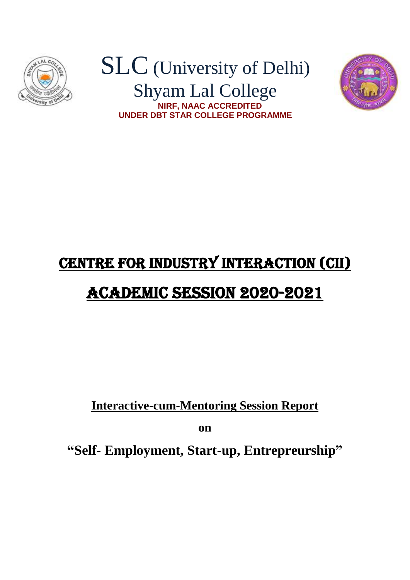

### SLC (University of Delhi) Shyam Lal College  **NIRF, NAAC ACCREDITED UNDER DBT STAR COLLEGE PROGRAMME**



# CENTRE FOR INDUSTRY INTERACTION (CII)

## Academic Session 2020-2021

**Interactive-cum-Mentoring Session Report** 

**on**

**"Self- Employment, Start-up, Entrepreurship"**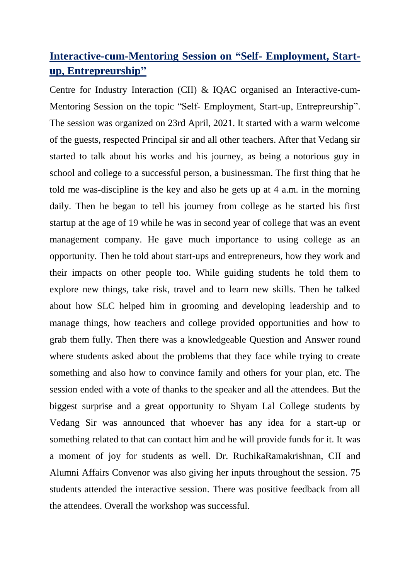#### **Interactive-cum-Mentoring Session on "Self- Employment, Startup, Entrepreurship"**

Centre for Industry Interaction (CII) & IQAC organised an Interactive-cum-Mentoring Session on the topic "Self- Employment, Start-up, Entrepreurship". The session was organized on 23rd April, 2021. It started with a warm welcome of the guests, respected Principal sir and all other teachers. After that Vedang sir started to talk about his works and his journey, as being a notorious guy in school and college to a successful person, a businessman. The first thing that he told me was-discipline is the key and also he gets up at 4 a.m. in the morning daily. Then he began to tell his journey from college as he started his first startup at the age of 19 while he was in second year of college that was an event management company. He gave much importance to using college as an opportunity. Then he told about start-ups and entrepreneurs, how they work and their impacts on other people too. While guiding students he told them to explore new things, take risk, travel and to learn new skills. Then he talked about how SLC helped him in grooming and developing leadership and to manage things, how teachers and college provided opportunities and how to grab them fully. Then there was a knowledgeable Question and Answer round where students asked about the problems that they face while trying to create something and also how to convince family and others for your plan, etc. The session ended with a vote of thanks to the speaker and all the attendees. But the biggest surprise and a great opportunity to Shyam Lal College students by Vedang Sir was announced that whoever has any idea for a start-up or something related to that can contact him and he will provide funds for it. It was a moment of joy for students as well. Dr. RuchikaRamakrishnan, CII and Alumni Affairs Convenor was also giving her inputs throughout the session. 75 students attended the interactive session. There was positive feedback from all the attendees. Overall the workshop was successful.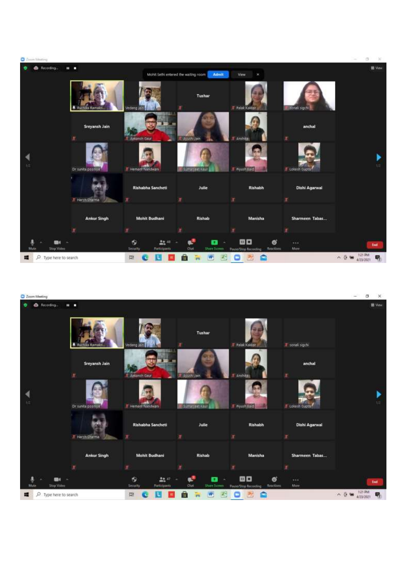